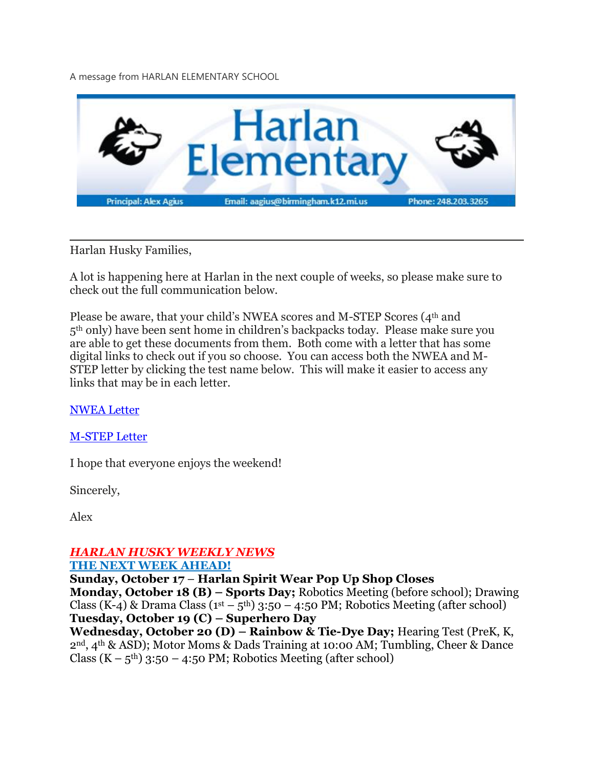A message from HARLAN ELEMENTARY SCHOOL



Harlan Husky Families,

A lot is happening here at Harlan in the next couple of weeks, so please make sure to check out the full communication below.

Please be aware, that your child's NWEA scores and M-STEP Scores (4<sup>th</sup> and 5th only) have been sent home in children's backpacks today. Please make sure you are able to get these documents from them. Both come with a letter that has some digital links to check out if you so choose. You can access both the NWEA and M-STEP letter by clicking the test name below. This will make it easier to access any links that may be in each letter.

[NWEA](https://drive.google.com/file/d/1ajKRhE3920Y7TXX4pIZKqUXCTyF9p61s/view?usp=sharing) Letter

[M-STEP](https://drive.google.com/file/d/15_D62ZxxO_gNYE8D5-fngqQXiNi98N1z/view?usp=sharing) Letter

I hope that everyone enjoys the weekend!

Sincerely,

Alex

# *HARLAN HUSKY WEEKLY NEWS*

#### **THE NEXT WEEK AHEAD!**

**Sunday, October 17** – **Harlan Spirit Wear Pop Up Shop Closes**

**Monday, October 18 (B) – Sports Day;** Robotics Meeting (before school); Drawing Class (K-4) & Drama Class ( $1<sup>st</sup> - 5<sup>th</sup>$ ) 3:50 – 4:50 PM; Robotics Meeting (after school) **Tuesday, October 19 (C) – Superhero Day**

**Wednesday, October 20 (D) – Rainbow & Tie-Dye Day;** Hearing Test (PreK, K, 2nd, 4th & ASD); Motor Moms & Dads Training at 10:00 AM; Tumbling, Cheer & Dance Class  $(K - 5<sup>th</sup>)$  3:50 – 4:50 PM; Robotics Meeting (after school)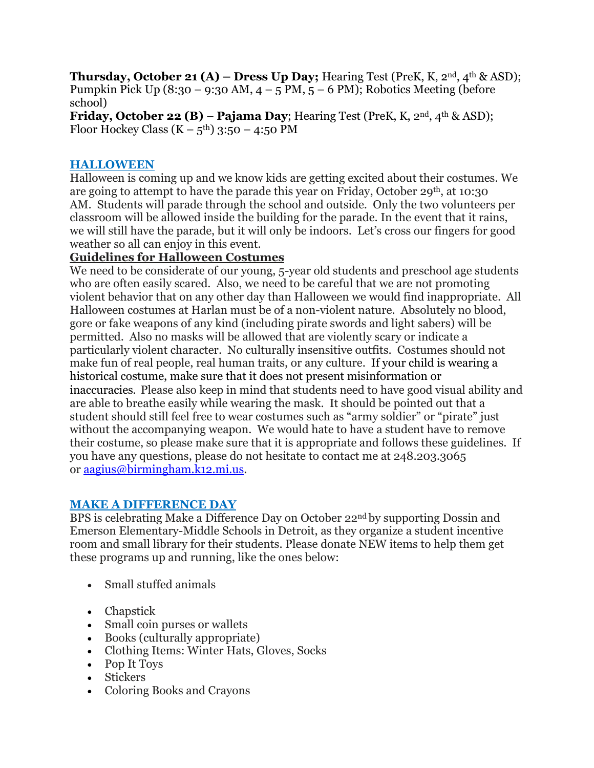**Thursday, October 21 (A) – Dress Up Day;** Hearing Test (PreK, K, 2nd, 4th & ASD); Pumpkin Pick Up (8:30 – 9:30 AM,  $4 - 5$  PM,  $5 - 6$  PM); Robotics Meeting (before school)

**Friday, October 22 (B)** – **Pajama Day**; Hearing Test (PreK, K, 2nd, 4th & ASD); Floor Hockey Class  $(K - 5<sup>th</sup>)$  3:50 – 4:50 PM

#### **HALLOWEEN**

Halloween is coming up and we know kids are getting excited about their costumes. We are going to attempt to have the parade this year on Friday, October  $29<sup>th</sup>$ , at 10:30 AM. Students will parade through the school and outside. Only the two volunteers per classroom will be allowed inside the building for the parade. In the event that it rains, we will still have the parade, but it will only be indoors. Let's cross our fingers for good weather so all can enjoy in this event.

## **Guidelines for Halloween Costumes**

We need to be considerate of our young, 5-year old students and preschool age students who are often easily scared. Also, we need to be careful that we are not promoting violent behavior that on any other day than Halloween we would find inappropriate. All Halloween costumes at Harlan must be of a non-violent nature. Absolutely no blood, gore or fake weapons of any kind (including pirate swords and light sabers) will be permitted. Also no masks will be allowed that are violently scary or indicate a particularly violent character. No culturally insensitive outfits. Costumes should not make fun of real people, real human traits, or any culture. If your child is wearing a historical costume, make sure that it does not present misinformation or inaccuracies. Please also keep in mind that students need to have good visual ability and are able to breathe easily while wearing the mask. It should be pointed out that a student should still feel free to wear costumes such as "army soldier" or "pirate" just without the accompanying weapon. We would hate to have a student have to remove their costume, so please make sure that it is appropriate and follows these guidelines. If you have any questions, please do not hesitate to contact me at 248.203.3065 or [aagius@birmingham.k12.mi.us.](mailto:aagius@birmingham.k12.mi.us)

## **MAKE A DIFFERENCE DAY**

BPS is celebrating Make a Difference Day on October 22nd by supporting Dossin and Emerson Elementary-Middle Schools in Detroit, as they organize a student incentive room and small library for their students. Please donate NEW items to help them get these programs up and running, like the ones below:

- Small stuffed animals
- Chapstick
- Small coin purses or wallets
- Books (culturally appropriate)
- Clothing Items: Winter Hats, Gloves, Socks
- Pop It Toys
- Stickers
- Coloring Books and Crayons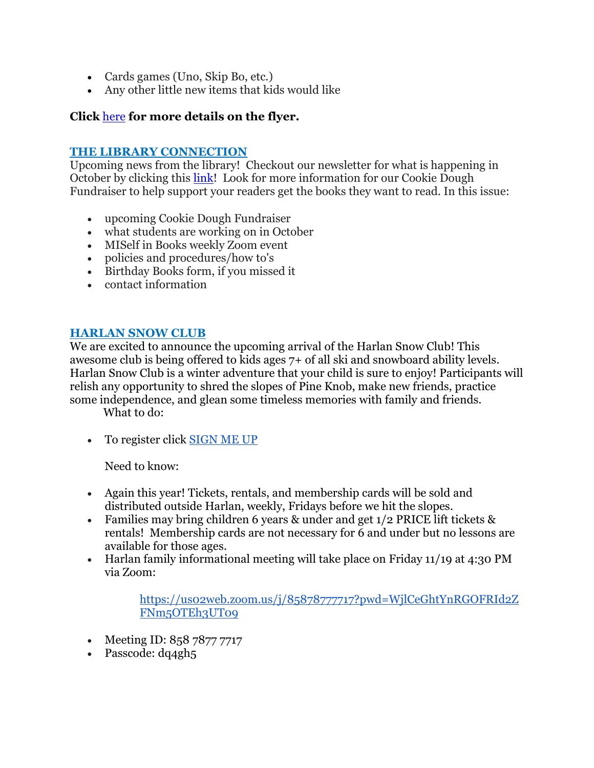- Cards games (Uno, Skip Bo, etc.)
- Any other little new items that kids would like

## **Click** [here](https://drive.google.com/file/d/1jz6-I9yo8okTMotDVFYOnuBmOg0L5FW4/view?usp=sharing) **for more details on the flyer.**

#### **THE LIBRARY CONNECTION**

Upcoming news from the library! Checkout our newsletter for what is happening in October by clicking this [link!](https://www.smore.com/r7a6s) Look for more information for our Cookie Dough Fundraiser to help support your readers get the books they want to read. In this issue:

- upcoming Cookie Dough Fundraiser
- what students are working on in October
- MISelf in Books weekly Zoom event
- policies and procedures/how to's
- Birthday Books form, if you missed it
- contact information

#### **HARLAN SNOW CLUB**

We are excited to announce the upcoming arrival of the Harlan Snow Club! This awesome club is being offered to kids ages 7+ of all ski and snowboard ability levels. Harlan Snow Club is a winter adventure that your child is sure to enjoy! Participants will relish any opportunity to shred the slopes of Pine Knob, make new friends, practice some independence, and glean some timeless memories with family and friends.

What to do:

• To register click [SIGN](https://docs.google.com/forms/d/e/1FAIpQLScXn8rWqfJwSAY9lOeXMOYWa0RKiadnyUI5wSMR0hA0NiWsJQ/viewform?usp=sf_link) ME UP

Need to know:

- Again this year! Tickets, rentals, and membership cards will be sold and distributed outside Harlan, weekly, Fridays before we hit the slopes.
- Families may bring children 6 years & under and get 1/2 PRICE lift tickets & rentals! Membership cards are not necessary for 6 and under but no lessons are available for those ages.
- Harlan family informational meeting will take place on Friday 11/19 at 4:30 PM via Zoom:

[https://us02web.zoom.us/j/85878777717?pwd=WjlCeGhtYnRGOFRId2Z](https://us02web.zoom.us/j/85878777717?pwd=WjlCeGhtYnRGOFRId2ZFNm5OTEh3UT09) [FNm5OTEh3UT09](https://us02web.zoom.us/j/85878777717?pwd=WjlCeGhtYnRGOFRId2ZFNm5OTEh3UT09)

- Meeting ID: 858 7877 7717
- Passcode: dq4gh5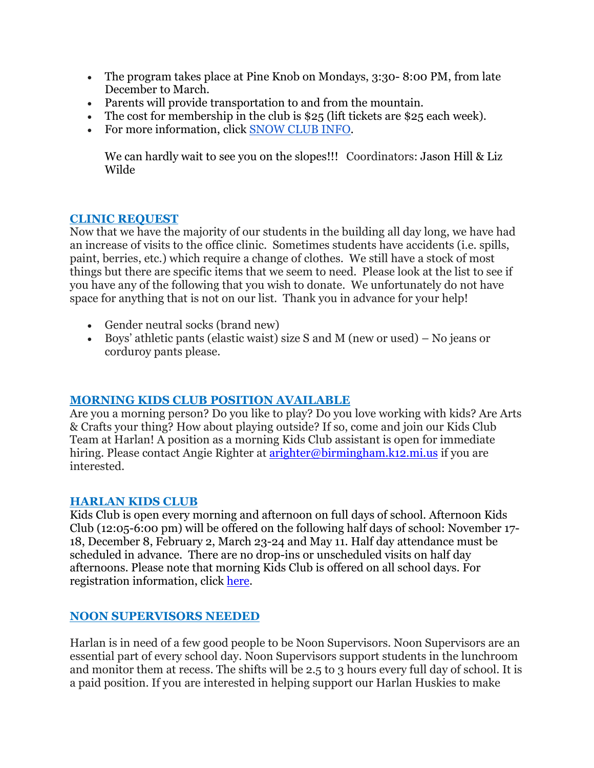- The program takes place at Pine Knob on Mondays, 3:30-8:00 PM, from late December to March.
- Parents will provide transportation to and from the mountain.
- The cost for membership in the club is  $$25$  (lift tickets are  $$25$  each week).
- For more information, click [SNOW](https://docs.google.com/document/d/1bnAwIdS-SRvsUcCgVJIH13l6UmdCSkB44PqCI1BaTFo/edit?usp=sharing) CLUB INFO.

We can hardly wait to see you on the slopes!!! Coordinators: Jason Hill & Liz Wilde

## **CLINIC REQUEST**

Now that we have the majority of our students in the building all day long, we have had an increase of visits to the office clinic. Sometimes students have accidents (i.e. spills, paint, berries, etc.) which require a change of clothes. We still have a stock of most things but there are specific items that we seem to need. Please look at the list to see if you have any of the following that you wish to donate. We unfortunately do not have space for anything that is not on our list. Thank you in advance for your help!

- Gender neutral socks (brand new)
- Boys' athletic pants (elastic waist) size S and M (new or used) No jeans or corduroy pants please.

#### **MORNING KIDS CLUB POSITION AVAILABLE**

Are you a morning person? Do you like to play? Do you love working with kids? Are Arts & Crafts your thing? How about playing outside? If so, come and join our Kids Club Team at Harlan! A position as a morning Kids Club assistant is open for immediate hiring. Please contact Angie Righter at [arighter@birmingham.k12.mi.us](mailto:arighter@birmingham.k12.mi.us) if you are interested.

#### **HARLAN KIDS CLUB**

Kids Club is open every morning and afternoon on full days of school. Afternoon Kids Club (12:05-6:00 pm) will be offered on the following half days of school: November 17- 18, December 8, February 2, March 23-24 and May 11. Half day attendance must be scheduled in advance. There are no drop-ins or unscheduled visits on half day afternoons. Please note that morning Kids Club is offered on all school days. For registration information, click [here.](https://www.birmingham.k12.mi.us/cms/lib/MI01908619/Centricity/Domain/494/2021-2022%20KIDS%20CLUB%20registration%20instructions.pdf)

## **NOON SUPERVISORS NEEDED**

Harlan is in need of a few good people to be Noon Supervisors. Noon Supervisors are an essential part of every school day. Noon Supervisors support students in the lunchroom and monitor them at recess. The shifts will be 2.5 to 3 hours every full day of school. It is a paid position. If you are interested in helping support our Harlan Huskies to make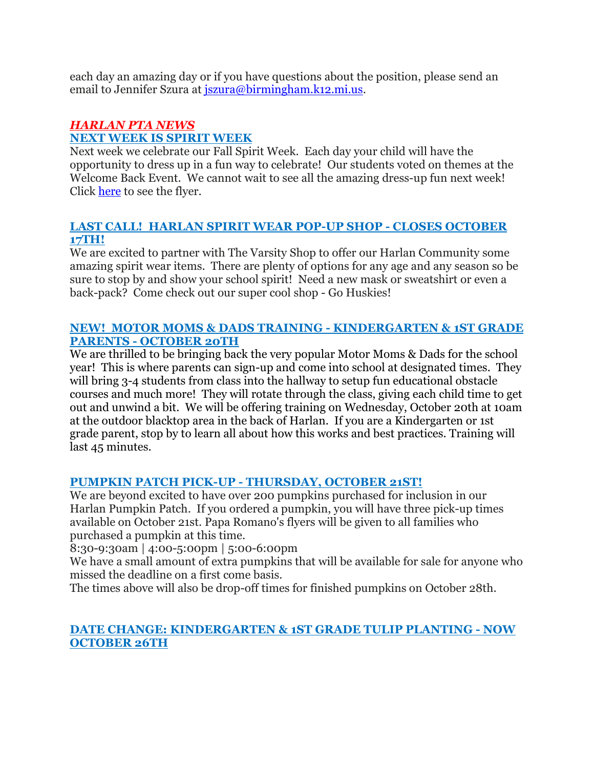each day an amazing day or if you have questions about the position, please send an email to Jennifer Szura at *[jszura@birmingham.k12.mi.us.](mailto:jszura@birmingham.k12.mi.us)* 

#### *HARLAN PTA NEWS* **NEXT WEEK IS SPIRIT WEEK**

Next week we celebrate our Fall Spirit Week. Each day your child will have the opportunity to dress up in a fun way to celebrate! Our students voted on themes at the Welcome Back Event. We cannot wait to see all the amazing dress-up fun next week! Click [here](https://drive.google.com/file/d/1LRpPAmZHkFxBLgebuBgU1-UU2nSRCBQr/view?usp=sharing) to see the flyer.

#### **LAST CALL! HARLAN SPIRIT WEAR POP-UP SHOP - CLOSES OCTOBER 17TH!**

We are excited to partner with The Varsity Shop to offer our Harlan Community some amazing spirit wear items. There are plenty of options for any age and any season so be sure to stop by and show your school spirit! Need a new mask or sweatshirt or even a back-pack? Come check out our super cool shop - Go Huskies!

## **NEW! MOTOR MOMS & DADS TRAINING - KINDERGARTEN & 1ST GRADE PARENTS - OCTOBER 20TH**

We are thrilled to be bringing back the very popular Motor Moms & Dads for the school year! This is where parents can sign-up and come into school at designated times. They will bring 3-4 students from class into the hallway to setup fun educational obstacle courses and much more! They will rotate through the class, giving each child time to get out and unwind a bit. We will be offering training on Wednesday, October 20th at 10am at the outdoor blacktop area in the back of Harlan. If you are a Kindergarten or 1st grade parent, stop by to learn all about how this works and best practices. Training will last 45 minutes.

## **PUMPKIN PATCH PICK-UP - THURSDAY, OCTOBER 21ST!**

We are beyond excited to have over 200 pumpkins purchased for inclusion in our Harlan Pumpkin Patch. If you ordered a pumpkin, you will have three pick-up times available on October 21st. Papa Romano's flyers will be given to all families who purchased a pumpkin at this time.

8:30-9:30am | 4:00-5:00pm | 5:00-6:00pm

We have a small amount of extra pumpkins that will be available for sale for anyone who missed the deadline on a first come basis.

The times above will also be drop-off times for finished pumpkins on October 28th.

## **DATE CHANGE: KINDERGARTEN & 1ST GRADE TULIP PLANTING - NOW OCTOBER 26TH**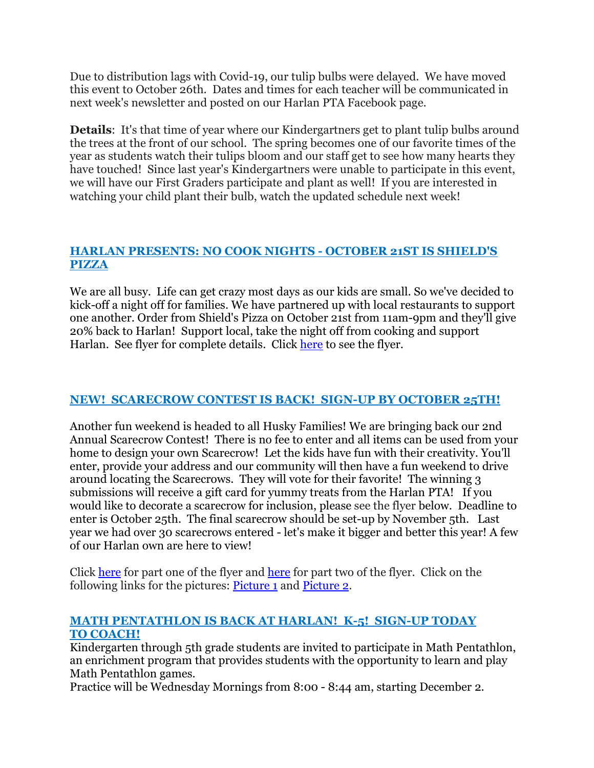Due to distribution lags with Covid-19, our tulip bulbs were delayed. We have moved this event to October 26th. Dates and times for each teacher will be communicated in next week's newsletter and posted on our Harlan PTA Facebook page.

**Details**: It's that time of year where our Kindergartners get to plant tulip bulbs around the trees at the front of our school. The spring becomes one of our favorite times of the year as students watch their tulips bloom and our staff get to see how many hearts they have touched! Since last year's Kindergartners were unable to participate in this event, we will have our First Graders participate and plant as well! If you are interested in watching your child plant their bulb, watch the updated schedule next week!

## **HARLAN PRESENTS: NO COOK NIGHTS - OCTOBER 21ST IS SHIELD'S PIZZA**

We are all busy. Life can get crazy most days as our kids are small. So we've decided to kick-off a night off for families. We have partnered up with local restaurants to support one another. Order from Shield's Pizza on October 21st from 11am-9pm and they'll give 20% back to Harlan! Support local, take the night off from cooking and support Harlan. See flyer for complete details. Click [here](https://drive.google.com/file/d/1d68-8qBTSLR_raLgz9Hq1fmzS59iLD-b/view?usp=sharing) to see the flyer.

## **NEW! SCARECROW CONTEST IS BACK! SIGN-UP BY OCTOBER 25TH!**

Another fun weekend is headed to all Husky Families! We are bringing back our 2nd Annual Scarecrow Contest! There is no fee to enter and all items can be used from your home to design your own Scarecrow! Let the kids have fun with their creativity. You'll enter, provide your address and our community will then have a fun weekend to drive around locating the Scarecrows. They will vote for their favorite! The winning 3 submissions will receive a gift card for yummy treats from the Harlan PTA! If you would like to decorate a scarecrow for inclusion, please see the flyer below. Deadline to enter is October 25th. The final scarecrow should be set-up by November 5th. Last year we had over 30 scarecrows entered - let's make it bigger and better this year! A few of our Harlan own are here to view!

Click [here](https://drive.google.com/file/d/1g99z9HAhlK_LecrlasqUuBbD5Ff2SerI/view?usp=sharing) for part one of the flyer and [here](https://drive.google.com/file/d/1TQvpue8KN0fzKkpB_ovyG8mDA_Grcv_f/view?usp=sharing) for part two of the flyer. Click on the following links for the pictures: [Picture](https://drive.google.com/file/d/1lPHMcw99xB6jm4NzLRlncMT-iU-gg-Nq/view?usp=sharing) 1 and [Picture](https://drive.google.com/file/d/1wpvsszwYPOlMTaNxEkrb4yu0Mxvpy-ie/view?usp=sharing) 2.

#### **MATH PENTATHLON IS BACK AT HARLAN! K-5! SIGN-UP TODAY TO COACH!**

Kindergarten through 5th grade students are invited to participate in Math Pentathlon, an enrichment program that provides students with the opportunity to learn and play Math Pentathlon games.

Practice will be Wednesday Mornings from 8:00 - 8:44 am, starting December 2.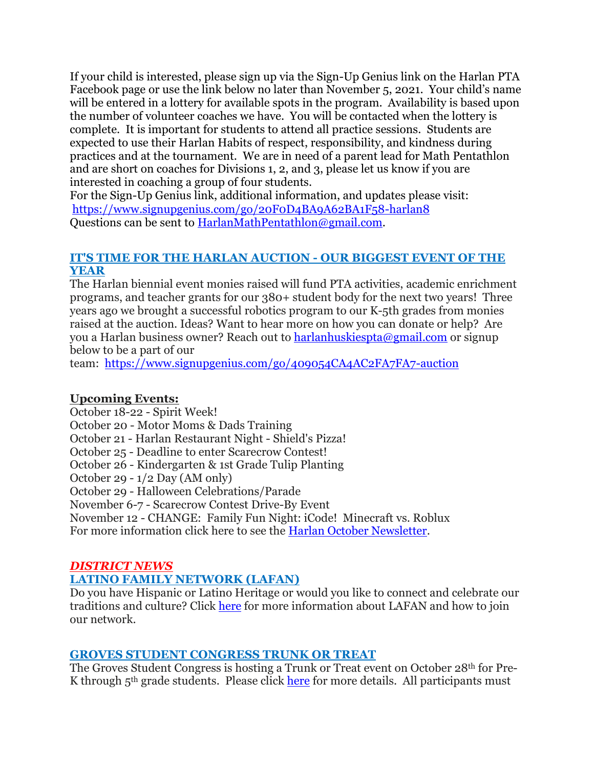If your child is interested, please sign up via the Sign-Up Genius link on the Harlan PTA Facebook page or use the link below no later than November 5, 2021. Your child's name will be entered in a lottery for available spots in the program. Availability is based upon the number of volunteer coaches we have. You will be contacted when the lottery is complete. It is important for students to attend all practice sessions. Students are expected to use their Harlan Habits of respect, responsibility, and kindness during practices and at the tournament. We are in need of a parent lead for Math Pentathlon and are short on coaches for Divisions 1, 2, and 3, please let us know if you are interested in coaching a group of four students.

For the Sign-Up Genius link, additional information, and updates please visit: <https://www.signupgenius.com/go/20F0D4BA9A62BA1F58-harlan8> Questions can be sent to [HarlanMathPentathlon@gmail.com.](mailto:HarlanMathPentathlon@gmail.com)

## **IT'S TIME FOR THE HARLAN AUCTION - OUR BIGGEST EVENT OF THE YEAR**

The Harlan biennial event monies raised will fund PTA activities, academic enrichment programs, and teacher grants for our 380+ student body for the next two years! Three years ago we brought a successful robotics program to our K-5th grades from monies raised at the auction. Ideas? Want to hear more on how you can donate or help? Are you a Harlan business owner? Reach out to [harlanhuskiespta@gmail.com](mailto:harlanhuskiespta@gmail.com) or signup below to be a part of our

team: <https://www.signupgenius.com/go/409054CA4AC2FA7FA7-auction>

## **Upcoming Events:**

October 18-22 - Spirit Week!

October 20 - Motor Moms & Dads Training

October 21 - Harlan Restaurant Night - Shield's Pizza!

October 25 - Deadline to enter Scarecrow Contest!

October 26 - Kindergarten & 1st Grade Tulip Planting

October 29 - 1/2 Day (AM only)

October 29 - Halloween Celebrations/Parade

November 6-7 - Scarecrow Contest Drive-By Event

November 12 - CHANGE: Family Fun Night: iCode! Minecraft vs. Roblux

For more information click here to see the Harlan October [Newsletter.](https://drive.google.com/file/d/1EURnQSUZa6RRNNePOeO0t4m-7k03QsYi/view?usp=sharing)

## *DISTRICT NEWS*

## **LATINO FAMILY NETWORK (LAFAN)**

Do you have Hispanic or Latino Heritage or would you like to connect and celebrate our traditions and culture? Click [here](https://drive.google.com/file/d/1ePehaO8wCL-BKVmXCEN4--sCyRwpHYae/view?usp=sharing) for more information about LAFAN and how to join our network.

#### **GROVES STUDENT CONGRESS TRUNK OR TREAT**

The Groves Student Congress is hosting a Trunk or Treat event on October 28th for Pre-K through  $5<sup>th</sup>$  grade students. Please click [here](https://drive.google.com/file/d/1fbQ21sbH8W63qLzbcNEg_Ve-oyBnLYRc/view?usp=sharing) for more details. All participants must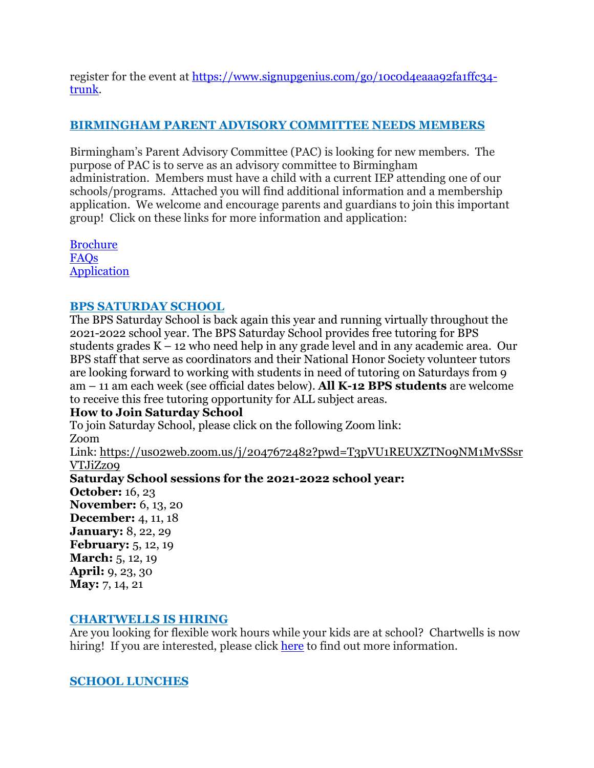register for the event at [https://www.signupgenius.com/go/10c0d4eaaa92fa1ffc34](https://www.signupgenius.com/go/10c0d4eaaa92fa1ffc34-trunk) [trunk.](https://www.signupgenius.com/go/10c0d4eaaa92fa1ffc34-trunk)

## **BIRMINGHAM PARENT ADVISORY COMMITTEE NEEDS MEMBERS**

Birmingham's Parent Advisory Committee (PAC) is looking for new members. The purpose of PAC is to serve as an advisory committee to Birmingham administration. Members must have a child with a current IEP attending one of our schools/programs. Attached you will find additional information and a membership application. We welcome and encourage parents and guardians to join this important group! Click on these links for more information and application:

[Brochure](https://drive.google.com/file/d/1jXVhvtfTvxAmpUicWt8Wtj4V0PxsCStm/view?usp=sharing) [FAQs](https://docs.google.com/document/d/18jvxUJA-f_AXEeOjyGh-5cmA2OouU5lZ/edit?usp=sharing&ouid=116191433314317801474&rtpof=true&sd=true) [Application](https://drive.google.com/file/d/1aCP2rsXNxLvS8cjV5hue92V4iWlWbdVk/view?usp=sharing)

## **BPS SATURDAY SCHOOL**

The BPS Saturday School is back again this year and running virtually throughout the 2021-2022 school year. The BPS Saturday School provides free tutoring for BPS students grades K – 12 who need help in any grade level and in any academic area. Our BPS staff that serve as coordinators and their National Honor Society volunteer tutors are looking forward to working with students in need of tutoring on Saturdays from 9 am – 11 am each week (see official dates below). **All K-12 BPS students** are welcome to receive this free tutoring opportunity for ALL subject areas.

## **How to Join Saturday School**

To join Saturday School, please click on the following Zoom link: Zoom

Link: [https://us02web.zoom.us/j/2047672482?pwd=T3pVU1REUXZTN09NM1MvSSsr](https://us02web.zoom.us/j/2047672482?pwd=T3pVU1REUXZTN09NM1MvSSsrVTJiZz09) [VTJiZz09](https://us02web.zoom.us/j/2047672482?pwd=T3pVU1REUXZTN09NM1MvSSsrVTJiZz09)

**Saturday School sessions for the 2021-2022 school year:**

**October:** 16, 23 **November:** 6, 13, 20 **December:** 4, 11, 18 **January:** 8, 22, 29 **February:** 5, 12, 19 **March:** 5, 12, 19 **April:** 9, 23, 30 **May:** 7, 14, 21

#### **CHARTWELLS IS HIRING**

Are you looking for flexible work hours while your kids are at school? Chartwells is now hiring! If you are interested, please click [here](https://drive.google.com/file/d/1BZnOWYoHzPSntYtVL11r7nlIkMYTQFdQ/view?usp=sharing) to find out more information.

## **SCHOOL LUNCHES**